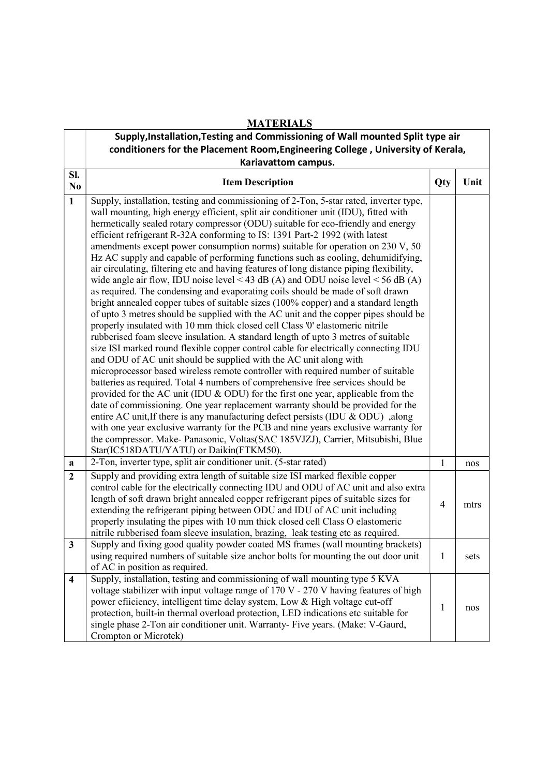|                         | <b>MATERIALS</b>                                                                                                                                                                                                                                                                                                                                                                                                                                                                                                                                                                                                                                                                                                                                                                                                                                                                                                                                                                                                                                                                                                                                                                                                                                                                                                                                                                                                                                                                                                                                                                                                                                                                                                                                                                                                                                                                                                                                            |                |      |  |  |
|-------------------------|-------------------------------------------------------------------------------------------------------------------------------------------------------------------------------------------------------------------------------------------------------------------------------------------------------------------------------------------------------------------------------------------------------------------------------------------------------------------------------------------------------------------------------------------------------------------------------------------------------------------------------------------------------------------------------------------------------------------------------------------------------------------------------------------------------------------------------------------------------------------------------------------------------------------------------------------------------------------------------------------------------------------------------------------------------------------------------------------------------------------------------------------------------------------------------------------------------------------------------------------------------------------------------------------------------------------------------------------------------------------------------------------------------------------------------------------------------------------------------------------------------------------------------------------------------------------------------------------------------------------------------------------------------------------------------------------------------------------------------------------------------------------------------------------------------------------------------------------------------------------------------------------------------------------------------------------------------------|----------------|------|--|--|
|                         | Supply, Installation, Testing and Commissioning of Wall mounted Split type air                                                                                                                                                                                                                                                                                                                                                                                                                                                                                                                                                                                                                                                                                                                                                                                                                                                                                                                                                                                                                                                                                                                                                                                                                                                                                                                                                                                                                                                                                                                                                                                                                                                                                                                                                                                                                                                                              |                |      |  |  |
|                         | conditioners for the Placement Room, Engineering College, University of Kerala,                                                                                                                                                                                                                                                                                                                                                                                                                                                                                                                                                                                                                                                                                                                                                                                                                                                                                                                                                                                                                                                                                                                                                                                                                                                                                                                                                                                                                                                                                                                                                                                                                                                                                                                                                                                                                                                                             |                |      |  |  |
|                         | Kariavattom campus.                                                                                                                                                                                                                                                                                                                                                                                                                                                                                                                                                                                                                                                                                                                                                                                                                                                                                                                                                                                                                                                                                                                                                                                                                                                                                                                                                                                                                                                                                                                                                                                                                                                                                                                                                                                                                                                                                                                                         |                |      |  |  |
| SI.<br>No               | <b>Item Description</b>                                                                                                                                                                                                                                                                                                                                                                                                                                                                                                                                                                                                                                                                                                                                                                                                                                                                                                                                                                                                                                                                                                                                                                                                                                                                                                                                                                                                                                                                                                                                                                                                                                                                                                                                                                                                                                                                                                                                     | Qty            | Unit |  |  |
| $\mathbf{1}$            | Supply, installation, testing and commissioning of 2-Ton, 5-star rated, inverter type,<br>wall mounting, high energy efficient, split air conditioner unit (IDU), fitted with<br>hermetically sealed rotary compressor (ODU) suitable for eco-friendly and energy<br>efficient refrigerant R-32A conforming to IS: 1391 Part-2 1992 (with latest<br>amendments except power consumption norms) suitable for operation on 230 V, 50<br>Hz AC supply and capable of performing functions such as cooling, dehumidifying,<br>air circulating, filtering etc and having features of long distance piping flexibility,<br>wide angle air flow, IDU noise level < 43 dB (A) and ODU noise level < 56 dB (A)<br>as required. The condensing and evaporating coils should be made of soft drawn<br>bright annealed copper tubes of suitable sizes (100% copper) and a standard length<br>of upto 3 metres should be supplied with the AC unit and the copper pipes should be<br>properly insulated with 10 mm thick closed cell Class '0' elastomeric nitrile<br>rubberised foam sleeve insulation. A standard length of upto 3 metres of suitable<br>size ISI marked round flexible copper control cable for electrically connecting IDU<br>and ODU of AC unit should be supplied with the AC unit along with<br>microprocessor based wireless remote controller with required number of suitable<br>batteries as required. Total 4 numbers of comprehensive free services should be<br>provided for the AC unit (IDU & ODU) for the first one year, applicable from the<br>date of commissioning. One year replacement warranty should be provided for the<br>entire AC unit, If there is any manufacturing defect persists (IDU & ODU) ,along<br>with one year exclusive warranty for the PCB and nine years exclusive warranty for<br>the compressor. Make-Panasonic, Voltas(SAC 185VJZJ), Carrier, Mitsubishi, Blue<br>Star(IC518DATU/YATU) or Daikin(FTKM50). |                |      |  |  |
| a                       | 2-Ton, inverter type, split air conditioner unit. (5-star rated)                                                                                                                                                                                                                                                                                                                                                                                                                                                                                                                                                                                                                                                                                                                                                                                                                                                                                                                                                                                                                                                                                                                                                                                                                                                                                                                                                                                                                                                                                                                                                                                                                                                                                                                                                                                                                                                                                            | $\mathbf{1}$   | nos  |  |  |
| $\overline{2}$          | Supply and providing extra length of suitable size ISI marked flexible copper<br>control cable for the electrically connecting IDU and ODU of AC unit and also extra<br>length of soft drawn bright annealed copper refrigerant pipes of suitable sizes for<br>extending the refrigerant piping between ODU and IDU of AC unit including<br>properly insulating the pipes with 10 mm thick closed cell Class O elastomeric<br>nitrile rubberised foam sleeve insulation, brazing, leak testing etc as required.                                                                                                                                                                                                                                                                                                                                                                                                                                                                                                                                                                                                                                                                                                                                                                                                                                                                                                                                                                                                                                                                                                                                                                                                                                                                                                                                                                                                                                             | $\overline{4}$ | mtrs |  |  |
| $\mathbf{3}$            | Supply and fixing good quality powder coated MS frames (wall mounting brackets)<br>using required numbers of suitable size anchor bolts for mounting the out door unit<br>of AC in position as required.                                                                                                                                                                                                                                                                                                                                                                                                                                                                                                                                                                                                                                                                                                                                                                                                                                                                                                                                                                                                                                                                                                                                                                                                                                                                                                                                                                                                                                                                                                                                                                                                                                                                                                                                                    | $\mathbf{1}$   | sets |  |  |
| $\overline{\mathbf{4}}$ | Supply, installation, testing and commissioning of wall mounting type 5 KVA<br>voltage stabilizer with input voltage range of 170 V - 270 V having features of high<br>power efficiency, intelligent time delay system, Low & High voltage cut-off<br>protection, built-in thermal overload protection, LED indications etc suitable for<br>single phase 2-Ton air conditioner unit. Warranty- Five years. (Make: V-Gaurd,<br>Crompton or Microtek)                                                                                                                                                                                                                                                                                                                                                                                                                                                                                                                                                                                                                                                                                                                                                                                                                                                                                                                                                                                                                                                                                                                                                                                                                                                                                                                                                                                                                                                                                                         | $\mathbf{1}$   | nos  |  |  |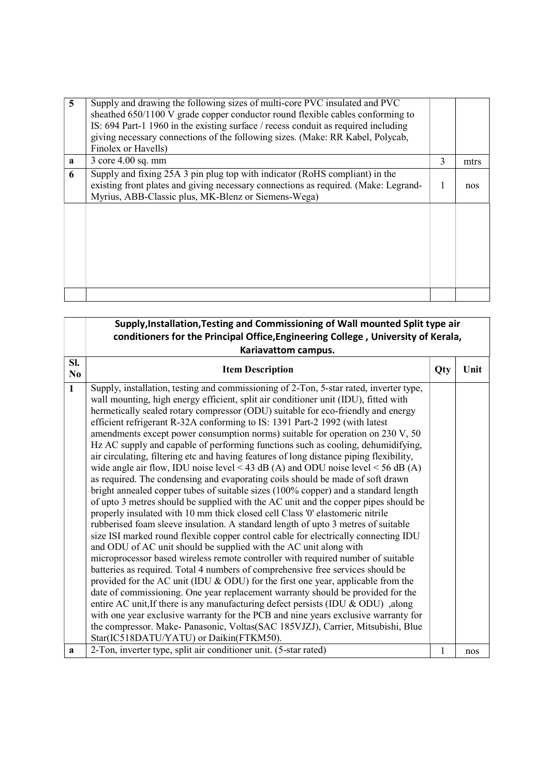| Finolex or Havells)               |                                                                                                                                                                                                                           |   |      |
|-----------------------------------|---------------------------------------------------------------------------------------------------------------------------------------------------------------------------------------------------------------------------|---|------|
| 3 core 4.00 sq. mm<br>$\mathbf a$ |                                                                                                                                                                                                                           | 3 | mtrs |
| 6                                 | Supply and fixing 25A 3 pin plug top with indicator (RoHS compliant) in the<br>existing front plates and giving necessary connections as required. (Make: Legrand-<br>Myrius, ABB-Classic plus, MK-Blenz or Siemens-Wega) | 1 | nos  |
|                                   |                                                                                                                                                                                                                           |   |      |

|              | Supply, Installation, Testing and Commissioning of Wall mounted Split type air                                                                                                                                                                                                                                                                                                                                                                                                                                                                                                                                                                                                                                                                                                                                                                                                                                                                                                                                                                                                                                                                                                                                                                                                                                                                                                                                                                                                                                                                                                                                                                                                                                                                                                                                                                                                                                                                               |     |      |
|--------------|--------------------------------------------------------------------------------------------------------------------------------------------------------------------------------------------------------------------------------------------------------------------------------------------------------------------------------------------------------------------------------------------------------------------------------------------------------------------------------------------------------------------------------------------------------------------------------------------------------------------------------------------------------------------------------------------------------------------------------------------------------------------------------------------------------------------------------------------------------------------------------------------------------------------------------------------------------------------------------------------------------------------------------------------------------------------------------------------------------------------------------------------------------------------------------------------------------------------------------------------------------------------------------------------------------------------------------------------------------------------------------------------------------------------------------------------------------------------------------------------------------------------------------------------------------------------------------------------------------------------------------------------------------------------------------------------------------------------------------------------------------------------------------------------------------------------------------------------------------------------------------------------------------------------------------------------------------------|-----|------|
|              | conditioners for the Principal Office, Engineering College, University of Kerala,                                                                                                                                                                                                                                                                                                                                                                                                                                                                                                                                                                                                                                                                                                                                                                                                                                                                                                                                                                                                                                                                                                                                                                                                                                                                                                                                                                                                                                                                                                                                                                                                                                                                                                                                                                                                                                                                            |     |      |
|              | Kariavattom campus.                                                                                                                                                                                                                                                                                                                                                                                                                                                                                                                                                                                                                                                                                                                                                                                                                                                                                                                                                                                                                                                                                                                                                                                                                                                                                                                                                                                                                                                                                                                                                                                                                                                                                                                                                                                                                                                                                                                                          |     |      |
| SI.<br>No    | <b>Item Description</b>                                                                                                                                                                                                                                                                                                                                                                                                                                                                                                                                                                                                                                                                                                                                                                                                                                                                                                                                                                                                                                                                                                                                                                                                                                                                                                                                                                                                                                                                                                                                                                                                                                                                                                                                                                                                                                                                                                                                      | Qty | Unit |
| $\mathbf{1}$ | Supply, installation, testing and commissioning of 2-Ton, 5-star rated, inverter type,<br>wall mounting, high energy efficient, split air conditioner unit (IDU), fitted with<br>hermetically sealed rotary compressor (ODU) suitable for eco-friendly and energy<br>efficient refrigerant R-32A conforming to IS: 1391 Part-2 1992 (with latest<br>amendments except power consumption norms) suitable for operation on 230 V, 50<br>Hz AC supply and capable of performing functions such as cooling, dehumidifying,<br>air circulating, filtering etc and having features of long distance piping flexibility,<br>wide angle air flow, IDU noise level < 43 dB (A) and ODU noise level < 56 dB (A)<br>as required. The condensing and evaporating coils should be made of soft drawn<br>bright annealed copper tubes of suitable sizes (100% copper) and a standard length<br>of upto 3 metres should be supplied with the AC unit and the copper pipes should be<br>properly insulated with 10 mm thick closed cell Class '0' elastomeric nitrile<br>rubberised foam sleeve insulation. A standard length of upto 3 metres of suitable<br>size ISI marked round flexible copper control cable for electrically connecting IDU<br>and ODU of AC unit should be supplied with the AC unit along with<br>microprocessor based wireless remote controller with required number of suitable<br>batteries as required. Total 4 numbers of comprehensive free services should be<br>provided for the AC unit (IDU & ODU) for the first one year, applicable from the<br>date of commissioning. One year replacement warranty should be provided for the<br>entire AC unit, If there is any manufacturing defect persists (IDU & ODU), along<br>with one year exclusive warranty for the PCB and nine years exclusive warranty for<br>the compressor. Make- Panasonic, Voltas(SAC 185VJZJ), Carrier, Mitsubishi, Blue<br>Star(IC518DATU/YATU) or Daikin(FTKM50). |     |      |
| a            | 2-Ton, inverter type, split air conditioner unit. (5-star rated)                                                                                                                                                                                                                                                                                                                                                                                                                                                                                                                                                                                                                                                                                                                                                                                                                                                                                                                                                                                                                                                                                                                                                                                                                                                                                                                                                                                                                                                                                                                                                                                                                                                                                                                                                                                                                                                                                             | 1   | nos  |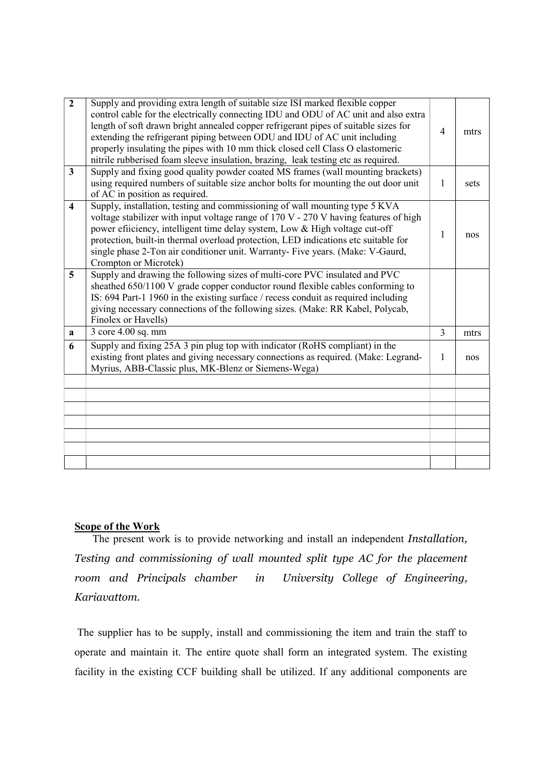| $\overline{2}$   | Supply and providing extra length of suitable size ISI marked flexible copper<br>control cable for the electrically connecting IDU and ODU of AC unit and also extra<br>length of soft drawn bright annealed copper refrigerant pipes of suitable sizes for<br>extending the refrigerant piping between ODU and IDU of AC unit including<br>properly insulating the pipes with 10 mm thick closed cell Class O elastomeric<br>nitrile rubberised foam sleeve insulation, brazing, leak testing etc as required. | $\overline{4}$ | mtrs |
|------------------|-----------------------------------------------------------------------------------------------------------------------------------------------------------------------------------------------------------------------------------------------------------------------------------------------------------------------------------------------------------------------------------------------------------------------------------------------------------------------------------------------------------------|----------------|------|
| $\mathbf{3}$     | Supply and fixing good quality powder coated MS frames (wall mounting brackets)<br>using required numbers of suitable size anchor bolts for mounting the out door unit<br>of AC in position as required.                                                                                                                                                                                                                                                                                                        | 1              | sets |
| $\boldsymbol{4}$ | Supply, installation, testing and commissioning of wall mounting type 5 KVA<br>voltage stabilizer with input voltage range of 170 V - 270 V having features of high<br>power efiiciency, intelligent time delay system, Low & High voltage cut-off<br>protection, built-in thermal overload protection, LED indications etc suitable for<br>single phase 2-Ton air conditioner unit. Warranty- Five years. (Make: V-Gaurd,<br>Crompton or Microtek)                                                             | 1              | nos  |
| 5 <sup>5</sup>   | Supply and drawing the following sizes of multi-core PVC insulated and PVC<br>sheathed 650/1100 V grade copper conductor round flexible cables conforming to<br>IS: 694 Part-1 1960 in the existing surface / recess conduit as required including<br>giving necessary connections of the following sizes. (Make: RR Kabel, Polycab,<br>Finolex or Havells)                                                                                                                                                     |                |      |
| a                | 3 core 4.00 sq. mm                                                                                                                                                                                                                                                                                                                                                                                                                                                                                              | 3              | mtrs |
| 6                | Supply and fixing 25A 3 pin plug top with indicator (RoHS compliant) in the<br>existing front plates and giving necessary connections as required. (Make: Legrand-<br>Myrius, ABB-Classic plus, MK-Blenz or Siemens-Wega)                                                                                                                                                                                                                                                                                       | 1              | nos  |
|                  |                                                                                                                                                                                                                                                                                                                                                                                                                                                                                                                 |                |      |
|                  |                                                                                                                                                                                                                                                                                                                                                                                                                                                                                                                 |                |      |
|                  |                                                                                                                                                                                                                                                                                                                                                                                                                                                                                                                 |                |      |
|                  |                                                                                                                                                                                                                                                                                                                                                                                                                                                                                                                 |                |      |
|                  |                                                                                                                                                                                                                                                                                                                                                                                                                                                                                                                 |                |      |
|                  |                                                                                                                                                                                                                                                                                                                                                                                                                                                                                                                 |                |      |
|                  |                                                                                                                                                                                                                                                                                                                                                                                                                                                                                                                 |                |      |

## Scope of the Work

The present work is to provide networking and install an independent Installation, Testing and commissioning of wall mounted split type AC for the placement room and Principals chamber in University College of Engineering, Kariavattom.

 The supplier has to be supply, install and commissioning the item and train the staff to operate and maintain it. The entire quote shall form an integrated system. The existing facility in the existing CCF building shall be utilized. If any additional components are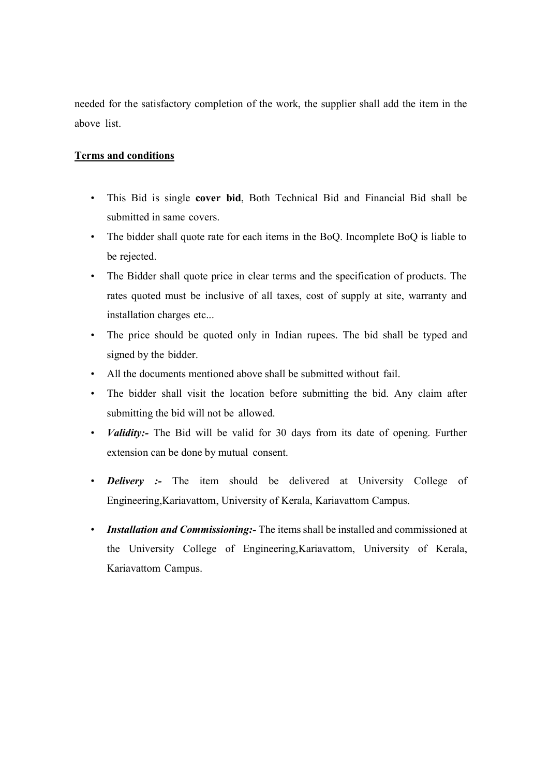needed for the satisfactory completion of the work, the supplier shall add the item in the above list.

## Terms and conditions

- This Bid is single cover bid, Both Technical Bid and Financial Bid shall be submitted in same covers.
- The bidder shall quote rate for each items in the BoQ. Incomplete BoQ is liable to be rejected.
- The Bidder shall quote price in clear terms and the specification of products. The rates quoted must be inclusive of all taxes, cost of supply at site, warranty and installation charges etc...
- The price should be quoted only in Indian rupees. The bid shall be typed and signed by the bidder.
- All the documents mentioned above shall be submitted without fail.
- The bidder shall visit the location before submitting the bid. Any claim after submitting the bid will not be allowed.
- Validity:- The Bid will be valid for 30 days from its date of opening. Further extension can be done by mutual consent.
- Delivery :- The item should be delivered at University College of Engineering,Kariavattom, University of Kerala, Kariavattom Campus.
- Installation and Commissioning: The items shall be installed and commissioned at the University College of Engineering,Kariavattom, University of Kerala, Kariavattom Campus.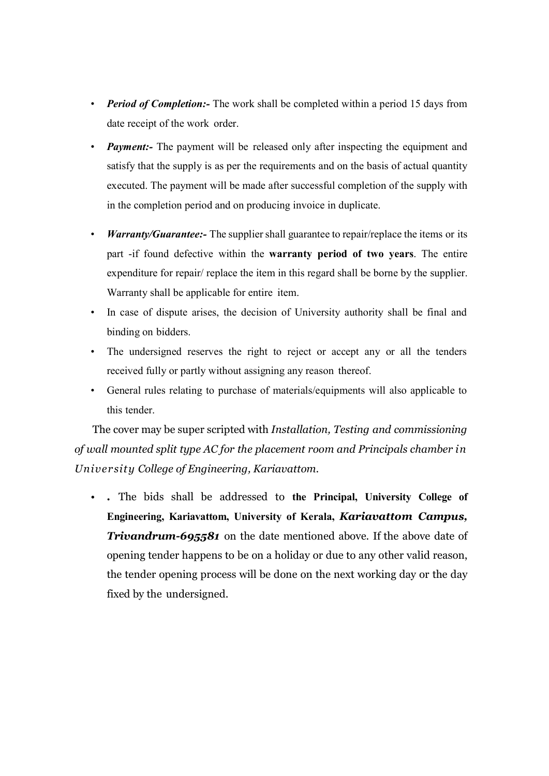- **Period of Completion:** The work shall be completed within a period 15 days from date receipt of the work order.
- **Payment:** The payment will be released only after inspecting the equipment and satisfy that the supply is as per the requirements and on the basis of actual quantity executed. The payment will be made after successful completion of the supply with in the completion period and on producing invoice in duplicate.
- Warranty/Guarantee: The supplier shall guarantee to repair/replace the items or its part -if found defective within the warranty period of two years. The entire expenditure for repair/ replace the item in this regard shall be borne by the supplier. Warranty shall be applicable for entire item.
- In case of dispute arises, the decision of University authority shall be final and binding on bidders.
- The undersigned reserves the right to reject or accept any or all the tenders received fully or partly without assigning any reason thereof.
- General rules relating to purchase of materials/equipments will also applicable to this tender.

The cover may be super scripted with Installation, Testing and commissioning of wall mounted split type AC for the placement room and Principals chamber in University College of Engineering, Kariavattom.

• . The bids shall be addressed to the Principal, University College of Engineering, Kariavattom, University of Kerala, Kariavattom Campus, **Trivandrum-695581** on the date mentioned above. If the above date of opening tender happens to be on a holiday or due to any other valid reason, the tender opening process will be done on the next working day or the day fixed by the undersigned.